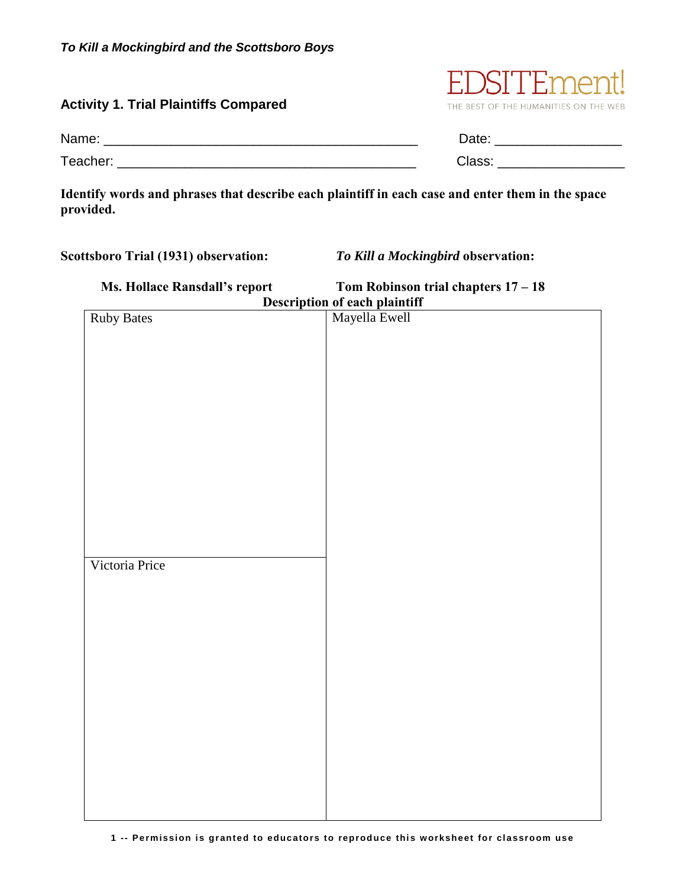## **Activity 1. Trial Plaintiffs Compared**



| Name:    | Date:  |
|----------|--------|
| Teacher. | ⊆lass. |

**Identify words and phrases that describe each plaintiff in each case and enter them in the space provided.** 

**Scottsboro Trial (1931) observation:** *To Kill a Mockingbird* **observation:** 

| Ms. Hollace Ransdall's report        | Tom Robinson trial chapters $17 - 18$ |
|--------------------------------------|---------------------------------------|
| <b>Description of each plaintiff</b> |                                       |
| <b>Ruby Bates</b>                    | Mayella Ewell                         |
|                                      |                                       |
|                                      |                                       |
|                                      |                                       |
|                                      |                                       |
|                                      |                                       |
|                                      |                                       |
|                                      |                                       |
|                                      |                                       |
|                                      |                                       |
|                                      |                                       |
|                                      |                                       |
|                                      |                                       |
|                                      |                                       |
|                                      |                                       |
|                                      |                                       |
| Victoria Price                       |                                       |
|                                      |                                       |
|                                      |                                       |
|                                      |                                       |
|                                      |                                       |
|                                      |                                       |
|                                      |                                       |
|                                      |                                       |
|                                      |                                       |
|                                      |                                       |
|                                      |                                       |
|                                      |                                       |
|                                      |                                       |
|                                      |                                       |
|                                      |                                       |
|                                      |                                       |
|                                      |                                       |
|                                      |                                       |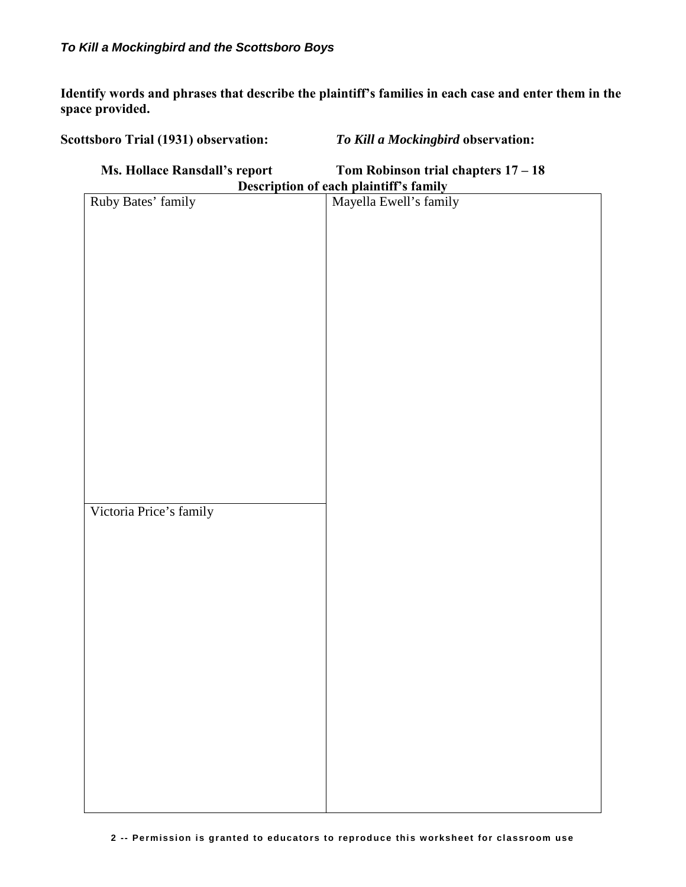**Identify words and phrases that describe the plaintiff's families in each case and enter them in the space provided.** 

**Scottsboro Trial (1931) observation:** *To Kill a Mockingbird* **observation:** 

**Ms. Hollace Ransdall's report Tom Robinson trial chapters 17 – 18 Description of each plaintiff's family**  Ruby Bates' family Mayella Ewell's family Victoria Price's family